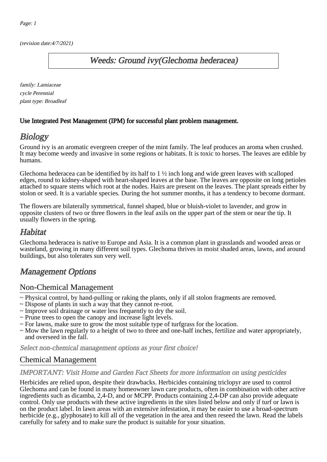(revision date:4/7/2021)

## Weeds: Ground ivy(Glechoma hederacea)

family: Lamiaceae cycle Perennial plant type: Broadleaf

#### Use Integrated Pest Management (IPM) for successful plant problem management.

## **Biology**

Ground ivy is an aromatic evergreen creeper of the mint family. The leaf produces an aroma when crushed. It may become weedy and invasive in some regions or habitats. It is toxic to horses. The leaves are edible by humans.

Glechoma hederacea can be identified by its half to  $1 \frac{1}{2}$  inch long and wide green leaves with scalloped edges, round to kidney-shaped with heart-shaped leaves at the base. The leaves are opposite on long petioles attached to square stems which root at the nodes. Hairs are present on the leaves. The plant spreads either by stolon or seed. It is a variable species. During the hot summer months, it has a tendency to become dormant.

The flowers are bilaterally symmetrical, funnel shaped, blue or bluish-violet to lavender, and grow in opposite clusters of two or three flowers in the leaf axils on the upper part of the stem or near the tip. It usually flowers in the spring.

#### **Habitat**

Glechoma hederacea is native to Europe and Asia. It is a common plant in grasslands and wooded areas or wasteland, growing in many different soil types. Glechoma thrives in moist shaded areas, lawns, and around buildings, but also tolerates sun very well.

# Management Options

#### Non-Chemical Management

- ~ Physical control, by hand-pulling or raking the plants, only if all stolon fragments are removed.
- ~ Dispose of plants in such a way that they cannot re-root.
- ~ Improve soil drainage or water less frequently to dry the soil.
- ~ Prune trees to open the canopy and increase light levels.
- ~ For lawns, make sure to grow the most suitable type of turfgrass for the location.
- ~ Mow the lawn regularly to a height of two to three and one-half inches, fertilize and water appropriately, and overseed in the fall.

Select non-chemical management options as your first choice!

### Chemical Management

#### IMPORTANT: [Visit Home and Garden Fact Sheets for more information on using pesticides](http://pep.wsu.edu/Home_Garden/H_G_Pesticide_info/)

Herbicides are relied upon, despite their drawbacks. Herbicides containing triclopyr are used to control Glechoma and can be found in many homeowner lawn care products, often in combination with other active ingredients such as dicamba, 2,4-D, and or MCPP. Products containing 2,4-DP can also provide adequate control. Only use products with these active ingredients in the sites listed below and only if turf or lawn is on the product label. In lawn areas with an extensive infestation, it may be easier to use a broad-spectrum herbicide (e.g., glyphosate) to kill all of the vegetation in the area and then reseed the lawn. Read the labels carefully for safety and to make sure the product is suitable for your situation.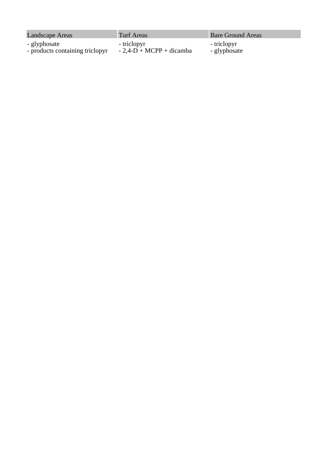- glyphosate

- products containing triclopyr

- triclopyr

- 2,4-D + MCPP + dicamba

Landscape Areas Turf Areas Turf Areas Bare Ground Areas

- triclopyr

- glyphosate